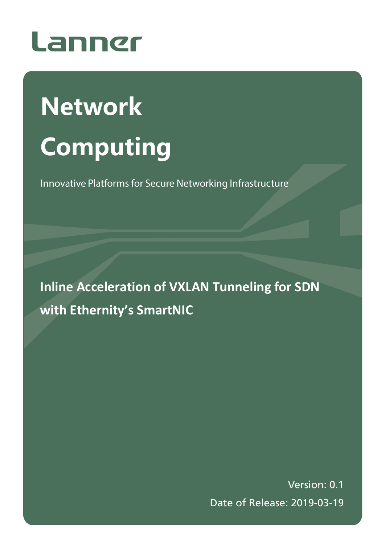

# **Network Computing**

Innovative Platforms for Secure Networking Infrastructure

**Inline Acceleration of VXLAN Tunneling for SDN with Ethernity's SmartNIC**

> Version: 0.1 Date of Release: 2019-03-19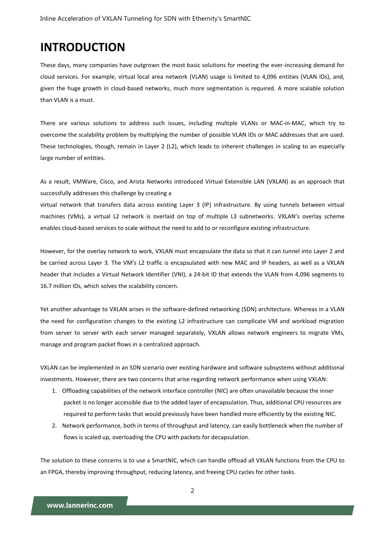## **INTRODUCTION**

These days, many companies have outgrown the most basic solutions for meeting the ever-increasing demand for cloud services. For example, virtual local area network (VLAN) usage is limited to 4,096 entities (VLAN IDs), and, given the huge growth in cloud-based networks, much more segmentation is required. A more scalable solution than VLAN is a must.

There are various solutions to address such issues, including multiple VLANs or MAC-in-MAC, which try to overcome the scalability problem by multiplying the number of possible VLAN IDs or MAC addresses that are used. These technologies, though, remain in Layer 2 (L2), which leads to inherent challenges in scaling to an especially large number of entities.

As a result, VMWare, Cisco, and Arista Networks introduced Virtual Extensible LAN (VXLAN) as an approach that successfully addresses this challenge by creating a

virtual network that transfers data across existing Layer 3 (IP) infrastructure. By using tunnels between virtual machines (VMs), a virtual L2 network is overlaid on top of multiple L3 subnetworks. VXLAN's overlay scheme enables cloud-based services to scale without the need to add to or reconfigure existing infrastructure.

However, for the overlay network to work, VXLAN must encapsulate the data so that it can tunnel into Layer 2 and be carried across Layer 3. The VM's L2 traffic is encapsulated with new MAC and IP headers, as well as a VXLAN header that includes a Virtual Network Identifier (VNI), a 24-bit ID that extends the VLAN from 4,096 segments to 16.7 million IDs, which solves the scalability concern.

Yet another advantage to VXLAN arises in the software-defined networking (SDN) architecture. Whereas in a VLAN the need for configuration changes to the existing L2 infrastructure can complicate VM and workload migration from server to server with each server managed separately, VXLAN allows network engineers to migrate VMs, manage and program packet flows in a centralized approach.

VXLAN can be implemented in an SDN scenario over existing hardware and software subsystems without additional investments. However, there are two concerns that arise regarding network performance when using VXLAN:

- 1. Offloading capabilities of the network interface controller (NIC) are often unavailable because the inner packet is no longer accessible due to the added layer of encapsulation. Thus, additional CPU resources are required to perform tasks that would previously have been handled more efficiently by the existing NIC.
- 2. Network performance, both in terms of throughput and latency, can easily bottleneck when the number of flows is scaled up, overloading the CPU with packets for decapsulation.

The solution to these concerns is to use a SmartNIC, which can handle offload all VXLAN functions from the CPU to an FPGA, thereby improving throughput, reducing latency, and freeing CPU cycles for other tasks.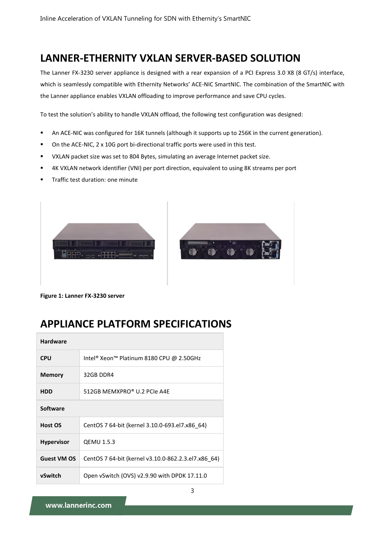## **LANNER-ETHERNITY VXLAN SERVER-BASED SOLUTION**

The Lanner FX-3230 server appliance is designed with a rear expansion of a PCI Express 3.0 X8 (8 GT/s) interface, which is seamlessly compatible with Ethernity Networks' ACE-NIC SmartNIC. The combination of the SmartNIC with the Lanner appliance enables VXLAN offloading to improve performance and save CPU cycles.

To test the solution's ability to handle VXLAN offload, the following test configuration was designed:

- An ACE-NIC was configured for 16K tunnels (although it supports up to 256K in the current generation).
- On the ACE-NIC, 2 x 10G port bi-directional traffic ports were used in this test.
- VXLAN packet size was set to 804 Bytes, simulating an average Internet packet size.
- 4K VXLAN network identifier (VNI) per port direction, equivalent to using 8K streams per port
- Traffic test duration: one minute





**Figure 1: Lanner FX-3230 server**

## **APPLIANCE PLATFORM SPECIFICATIONS**

| <b>Hardware</b>    |                                                     |  |  |  |  |  |
|--------------------|-----------------------------------------------------|--|--|--|--|--|
| <b>CPU</b>         | Intel® Xeon™ Platinum 8180 CPU @ 2.50GHz            |  |  |  |  |  |
| <b>Memory</b>      | 32GB DDR4                                           |  |  |  |  |  |
| <b>HDD</b>         | 512GB MEMXPRO® U.2 PCIe A4E                         |  |  |  |  |  |
| <b>Software</b>    |                                                     |  |  |  |  |  |
| Host OS            | CentOS 7 64-bit (kernel 3.10.0-693.el7.x86 64)      |  |  |  |  |  |
| Hypervisor         | <b>QEMU 1.5.3</b>                                   |  |  |  |  |  |
| <b>Guest VM OS</b> | CentOS 7 64-bit (kernel v3.10.0-862.2.3.el7.x86 64) |  |  |  |  |  |
| vSwitch            | Open vSwitch (OVS) $v2.9.90$ with DPDK 17.11.0      |  |  |  |  |  |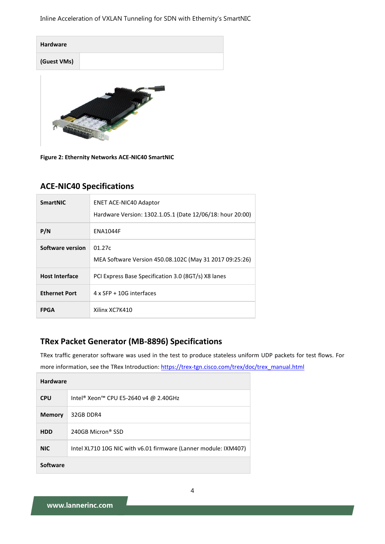Inline Acceleration of VXLAN Tunneling for SDN with Ethernity's SmartNIC

| <b>Hardware</b> |  |
|-----------------|--|
| (Guest VMs)     |  |



**Figure 2: Ethernity Networks ACE-NIC40 SmartNIC** 

#### **ACE-NIC40 Specifications**

| <b>SmartNIC</b>       | <b>ENET ACE-NIC40 Adaptor</b><br>Hardware Version: 1302.1.05.1 (Date 12/06/18: hour 20:00) |  |  |  |  |  |  |
|-----------------------|--------------------------------------------------------------------------------------------|--|--|--|--|--|--|
| P/N                   | <b>ENA1044F</b>                                                                            |  |  |  |  |  |  |
| Software version      | 01.27c<br>MEA Software Version 450.08.102C (May 31 2017 09:25:26)                          |  |  |  |  |  |  |
| <b>Host Interface</b> | PCI Express Base Specification 3.0 (8GT/s) X8 lanes                                        |  |  |  |  |  |  |
| <b>Ethernet Port</b>  | $4 \times$ SFP + 10G interfaces                                                            |  |  |  |  |  |  |
| <b>FPGA</b>           | Xilinx XC7K410                                                                             |  |  |  |  |  |  |

#### **TRex Packet Generator (MB-8896) Specifications**

TRex traffic generator software was used in the test to produce stateless uniform UDP packets for test flows. For more information, see the TRex Introduction: [https://trex-tgn.cisco.com/trex/doc/trex\\_manual.html](https://trex-tgn.cisco.com/trex/doc/trex_manual.html)

| <b>Hardware</b> |                                                                 |  |  |  |
|-----------------|-----------------------------------------------------------------|--|--|--|
| <b>CPU</b>      | Intel® Xeon™ CPU E5-2640 v4 @ 2.40GHz                           |  |  |  |
| <b>Memory</b>   | 32GB DDR4                                                       |  |  |  |
| <b>HDD</b>      | 240GB Micron <sup>®</sup> SSD                                   |  |  |  |
| <b>NIC</b>      | Intel XL710 10G NIC with v6.01 firmware (Lanner module: IXM407) |  |  |  |
| Software        |                                                                 |  |  |  |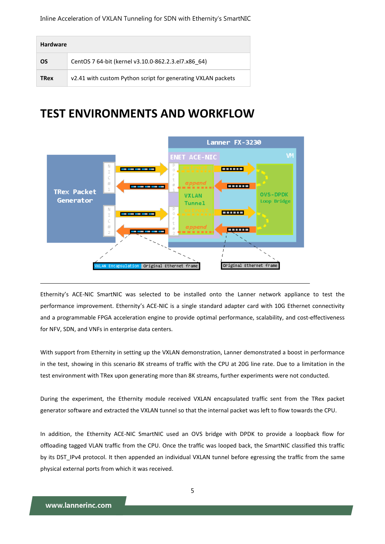| <b>Hardware</b> |                                                              |  |  |  |  |
|-----------------|--------------------------------------------------------------|--|--|--|--|
| OS              | CentOS 7 64-bit (kernel v3.10.0-862.2.3.el7.x86 64)          |  |  |  |  |
| <b>TRex</b>     | v2.41 with custom Python script for generating VXLAN packets |  |  |  |  |

## **TEST ENVIRONMENTS AND WORKFLOW**



Ethernity's ACE-NIC SmartNIC was selected to be installed onto the Lanner network appliance to test the performance improvement. Ethernity's ACE-NIC is a single standard adapter card with 10G Ethernet connectivity and a programmable FPGA acceleration engine to provide optimal performance, scalability, and cost-effectiveness for NFV, SDN, and VNFs in enterprise data centers.

With support from Ethernity in setting up the VXLAN demonstration, Lanner demonstrated a boost in performance in the test, showing in this scenario 8K streams of traffic with the CPU at 20G line rate. Due to a limitation in the test environment with TRex upon generating more than 8K streams, further experiments were not conducted.

During the experiment, the Ethernity module received VXLAN encapsulated traffic sent from the TRex packet generator software and extracted the VXLAN tunnel so that the internal packet was left to flow towards the CPU.

In addition, the Ethernity ACE-NIC SmartNIC used an OVS bridge with DPDK to provide a loopback flow for offloading tagged VLAN traffic from the CPU. Once the traffic was looped back, the SmartNIC classified this traffic by its DST\_IPv4 protocol. It then appended an individual VXLAN tunnel before egressing the traffic from the same physical external ports from which it was received.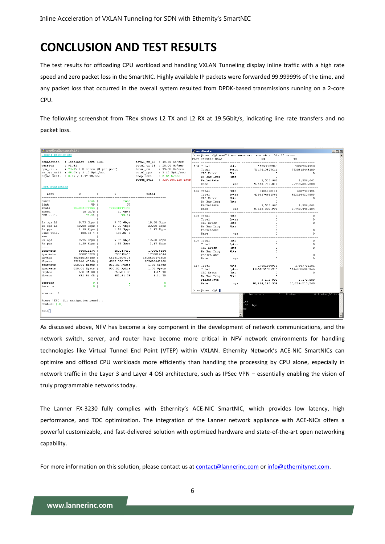# **CONCLUSION AND TEST RESULTS**

The test results for offloading CPU workload and handling VXLAN Tunneling display inline traffic with a high rate speed and zero packet loss in the SmartNIC. Highly available IP packets were forwarded 99.99999% of the time, and any packet loss that occurred in the overall system resulted from DPDK-based transmissions running on a 2-core CPU.

The following screenshot from TRex shows L2 TX and L2 RX at 19.5Gbit/s, indicating line rate transfers and no packet loss.

| Proot@localhost:/trex/v2.41                   |                                   |                   |                                |                               |                                                            | <b>B</b> root@enet:~ |               |                      |                | $\mathcal{A} = \{ \mathcal{A}, \mathcal{A}, \ldots, \mathcal{A}, \mathcal{A}, \ldots, \mathcal{A} \}$<br>$   $ $  $ $\times$ $ $ |
|-----------------------------------------------|-----------------------------------|-------------------|--------------------------------|-------------------------------|------------------------------------------------------------|----------------------|---------------|----------------------|----------------|----------------------------------------------------------------------------------------------------------------------------------|
| Global Statistics                             |                                   |                   |                                |                               | froot@enet ~1# meaCli mea counters rmon show 104:127 -rate |                      |               |                      |                |                                                                                                                                  |
|                                               |                                   |                   |                                |                               |                                                            | Port Counter Name    |               | RX                   | ТX             |                                                                                                                                  |
|                                               | connection : localhost, Port 4501 |                   |                                | total tx L2 : 19.50 Gb/sec    |                                                            |                      |               |                      |                |                                                                                                                                  |
| version                                       | : v2.41                           |                   |                                | total tx L1 : 20.00 Gb/sec    |                                                            | 104 Total            | Pkts          | 11298382940          | 10687894330    |                                                                                                                                  |
| cpu util. : $79.3$ * $0$ 2 cores (2 per port) |                                   |                   | total rx : 19.50 Gb/sec        |                               | Total                                                      | Bytes                | 7317419877611 | 7730315448109        |                |                                                                                                                                  |
| rx cpu util. : 68.9% / 3.17 Mpkt/sec          |                                   |                   |                                | total pps : 3.17 Mpkt/sec     |                                                            | CRC Error            | Pkts          | $\circ$              | $\circ$        |                                                                                                                                  |
| async util. : 0.1% / 1.47 KB/sec              |                                   |                   | drop rate $0.00 \text{ b/sec}$ |                               |                                                            | Rx Mac Drop          | Pkts          | $\Omega$             |                |                                                                                                                                  |
|                                               |                                   |                   |                                | queue full : 320,606,128 pkts |                                                            | PacketRate           |               | 1,586,661            | 1,586,663      |                                                                                                                                  |
|                                               |                                   |                   |                                |                               |                                                            | Rate                 | bps           | 9, 113, 734, 832     | 9,748,389,888  |                                                                                                                                  |
| Port Statistics                               |                                   |                   |                                |                               |                                                            |                      |               |                      |                |                                                                                                                                  |
| port                                          | $^{\circ}$                        | $\mathbf{1}$      | total                          |                               |                                                            | 105 Total            | Pkts          | 7101862331           | 6607480491     |                                                                                                                                  |
|                                               |                                   |                   |                                |                               |                                                            | Total                | Bytes         | 4283174641565        | 4521946207805  |                                                                                                                                  |
| owner                                         | root                              | root              |                                |                               |                                                            | CRC Error            | Pkts          | $\Omega$<br>$\Omega$ | 0              |                                                                                                                                  |
| link                                          | UP                                | $UP$              |                                |                               |                                                            | Rx Mac Drop          | Pkts          |                      |                |                                                                                                                                  |
| state                                         | TRANSMITTING                      | TRANSMITTING      |                                |                               |                                                            | PacketRate           | bps           | 1.586.668            | 1,586,661      |                                                                                                                                  |
| speed                                         | $10$ Gb/s $\vert$                 | $10$ Gb/s $\vert$ |                                |                               |                                                            | Rate                 |               | 9, 113, 820, 992     | 9,748,445,184  |                                                                                                                                  |
| CPU util.                                     | $79.3*$                           | 79.3%             |                                |                               |                                                            | 106 Total            | Pkts          |                      |                |                                                                                                                                  |
|                                               |                                   |                   |                                |                               |                                                            | Total                | Bytes         | n                    | 0              |                                                                                                                                  |
| Tx bps L2                                     | $9.75$ Gbps $\vert$               | 9.75 Gbps         | 19.50 Gbps                     |                               |                                                            | CRC Error            | Pkts          |                      | ٥              |                                                                                                                                  |
| Tx bps L1                                     | $10.00$ Gbps $ $                  | $10.00$ Gbps $ $  | 20.00 Gbps                     |                               |                                                            | Rx Mac Drop          | Pkts          |                      |                |                                                                                                                                  |
| Tx pps                                        | 1.59 Mpps                         | 1.59 Mpps         | 3.17 Mpps                      |                               |                                                            | PacketRate           |               |                      | 0              |                                                                                                                                  |
| Line Util.                                    | $100.02$ $\pm$ 1                  | $100.02$ $\div$ 1 |                                |                               |                                                            | Rate                 | bps           |                      | n.             |                                                                                                                                  |
| $---$                                         |                                   |                   |                                |                               |                                                            |                      |               |                      |                |                                                                                                                                  |
| Rx bps                                        | 9.75 Gbps                         | 9.75 Gbps         | 19.50 Gbps                     |                               |                                                            | 107 Total            | <b>Pkts</b>   | n                    | n              |                                                                                                                                  |
| Rx pps                                        | 1.59 Mpps                         | 1.59 Mpps         | 3.17 Mpps                      |                               |                                                            | Total                | Bytes         | $\circ$              | $\circ$        |                                                                                                                                  |
| $- - - -$                                     |                                   |                   |                                |                               |                                                            | CRC Error            | Pkts          |                      | n.             |                                                                                                                                  |
| opackets                                      | 850013234                         | 850013420         | 1700026654                     |                               |                                                            | Rx Mac Drop          | <b>Pkts</b>   |                      |                |                                                                                                                                  |
| ipackets                                      | 850013229                         | 850013415         | 1700026644                     |                               |                                                            | PacketRate           |               |                      | ٥              |                                                                                                                                  |
| obytes                                        | 652810164480                      | 652810307328      | 1305620471808                  |                               |                                                            | Rate                 | bps           |                      | n.             |                                                                                                                                  |
| ibytes                                        | 652810160640                      | 652810302720      | 1305620463360                  |                               |                                                            |                      |               |                      |                |                                                                                                                                  |
| opackets                                      | 850.01 Nokts                      | 850.01 Mpkts      | 1.70 Gpkts                     |                               |                                                            | 127 Total            | Pkts          | 17681580031          | 17683732281    |                                                                                                                                  |
| ipackets                                      | 850.01 Mpkts                      | 850.01 Mpkts      | 1.70 Gpkts                     |                               |                                                            | Total                | Bytes         | 11464091536936       | 11464385460366 |                                                                                                                                  |
| obytes                                        | 652.81 GB                         | 652.81 GB         |                                | 1.31 TB                       |                                                            | CRC Error            | Pkts          | $\Omega$             | $\Omega$       |                                                                                                                                  |
| ibvtes<br>$- - - - -$                         | 652.81 GB                         | 652.81 GB         |                                | 1.31 TB                       |                                                            | Rx Mac Drop          | Pkts          | $^{\circ}$           |                |                                                                                                                                  |
|                                               | 0 <sub>1</sub>                    | 0 <sub>1</sub>    |                                | $\bullet$                     |                                                            | PacketRate           |               | 3,172,896            | 3,172,888      |                                                                                                                                  |
| oerrors<br>ierrors                            | 0 <sub>1</sub>                    | 0 <sub>1</sub>    |                                | $\Omega$                      |                                                            | Rate                 | bps           | 18, 224, 195, 584    | 18,224,218,560 |                                                                                                                                  |
|                                               |                                   |                   |                                |                               |                                                            |                      |               |                      |                |                                                                                                                                  |
| status: /                                     |                                   |                   |                                |                               |                                                            | $[root[$ enet ~1#    |               | Servers :            | 0 Socket :     | 0 Socket/Clien                                                                                                                   |
| Press 'ESC' for navigation panel              |                                   |                   |                                |                               |                                                            |                      |               |                      |                |                                                                                                                                  |
| 164<br>status: [OK]<br>$.00$ bps              |                                   |                   |                                |                               |                                                            |                      |               |                      |                |                                                                                                                                  |
|                                               |                                   |                   |                                |                               |                                                            |                      |               |                      |                |                                                                                                                                  |
| tui                                           |                                   |                   |                                |                               |                                                            |                      |               |                      |                |                                                                                                                                  |
|                                               |                                   |                   |                                |                               |                                                            |                      |               |                      |                |                                                                                                                                  |

As discussed above, NFV has become a key component in the development of network communications, and the network switch, server, and router have become more critical in NFV network environments for handling technologies like Virtual Tunnel End Point (VTEP) within VXLAN. Ethernity Network's ACE-NIC SmartNICs can optimize and offload CPU workloads more efficiently than handling the processing by CPU alone, especially in network traffic in the Layer 3 and Layer 4 OSI architecture, such as IPSec VPN – essentially enabling the vision of truly programmable networks today.

The Lanner FX-3230 fully complies with Ethernity's ACE-NIC SmartNIC, which provides low latency, high performance, and TOC optimization. The integration of the Lanner network appliance with ACE-NICs offers a powerful customizable, and fast-delivered solution with optimized hardware and state-of-the-art open networking capability.

For more information on this solution, please contact us at [contact@lannerinc.com](mailto:contact@lannerinc.com) o[r info@ethernitynet.com.](mailto:info@ethernitynet.com)